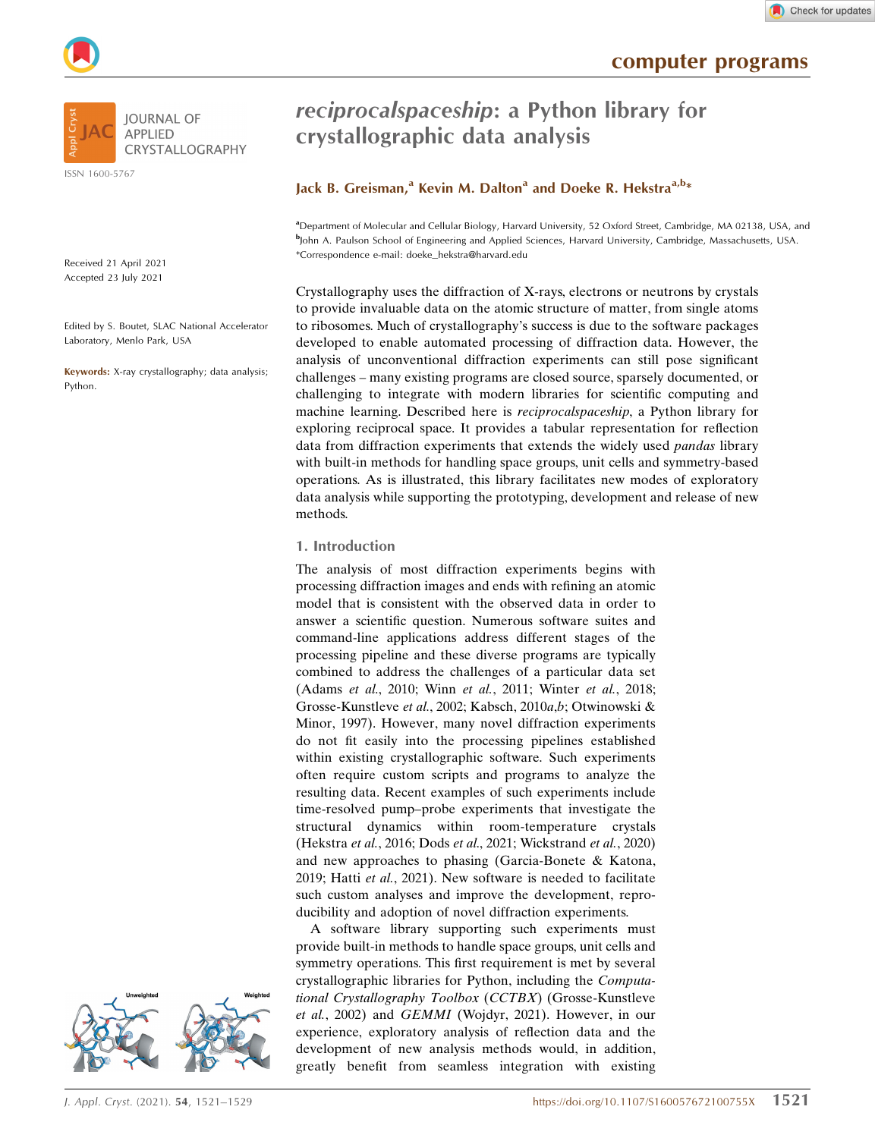computer programs





ISSN 1600-5767

Received 21 April 2021 Accepted 23 July 2021

Edited by S. Boutet, SLAC National Accelerator Laboratory, Menlo Park, USA

Keywords: X-ray crystallography; data analysis; Python.



# Lack B. Greisman,<sup>a</sup> Kevin M. Dalton<sup>a</sup> and Doeke R. Hekstra<sup>a,b\*</sup>

a Department of Molecular and Cellular Biology, Harvard University, 52 Oxford Street, Cambridge, MA 02138, USA, and b John A. Paulson School of Engineering and Applied Sciences, Harvard University, Cambridge, Massachusetts, USA. \*Correspondence e-mail: doeke\_hekstra@harvard.edu

Crystallography uses the diffraction of X-rays, electrons or neutrons by crystals to provide invaluable data on the atomic structure of matter, from single atoms to ribosomes. Much of crystallography's success is due to the software packages developed to enable automated processing of diffraction data. However, the analysis of unconventional diffraction experiments can still pose significant challenges – many existing programs are closed source, sparsely documented, or challenging to integrate with modern libraries for scientific computing and machine learning. Described here is reciprocalspaceship, a Python library for exploring reciprocal space. It provides a tabular representation for reflection data from diffraction experiments that extends the widely used pandas library with built-in methods for handling space groups, unit cells and symmetry-based operations. As is illustrated, this library facilitates new modes of exploratory data analysis while supporting the prototyping, development and release of new methods.

#### 1. Introduction

The analysis of most diffraction experiments begins with processing diffraction images and ends with refining an atomic model that is consistent with the observed data in order to answer a scientific question. Numerous software suites and command-line applications address different stages of the processing pipeline and these diverse programs are typically combined to address the challenges of a particular data set (Adams et al., 2010; Winn et al., 2011; Winter et al., 2018; Grosse-Kunstleve et al., 2002; Kabsch, 2010a,b; Otwinowski & Minor, 1997). However, many novel diffraction experiments do not fit easily into the processing pipelines established within existing crystallographic software. Such experiments often require custom scripts and programs to analyze the resulting data. Recent examples of such experiments include time-resolved pump–probe experiments that investigate the structural dynamics within room-temperature crystals (Hekstra et al., 2016; Dods et al., 2021; Wickstrand et al., 2020) and new approaches to phasing (Garcia-Bonete & Katona, 2019; Hatti et al., 2021). New software is needed to facilitate such custom analyses and improve the development, reproducibility and adoption of novel diffraction experiments.

A software library supporting such experiments must provide built-in methods to handle space groups, unit cells and symmetry operations. This first requirement is met by several crystallographic libraries for Python, including the Computational Crystallography Toolbox (CCTBX) (Grosse-Kunstleve et al., 2002) and GEMMI (Wojdyr, 2021). However, in our experience, exploratory analysis of reflection data and the development of new analysis methods would, in addition, greatly benefit from seamless integration with existing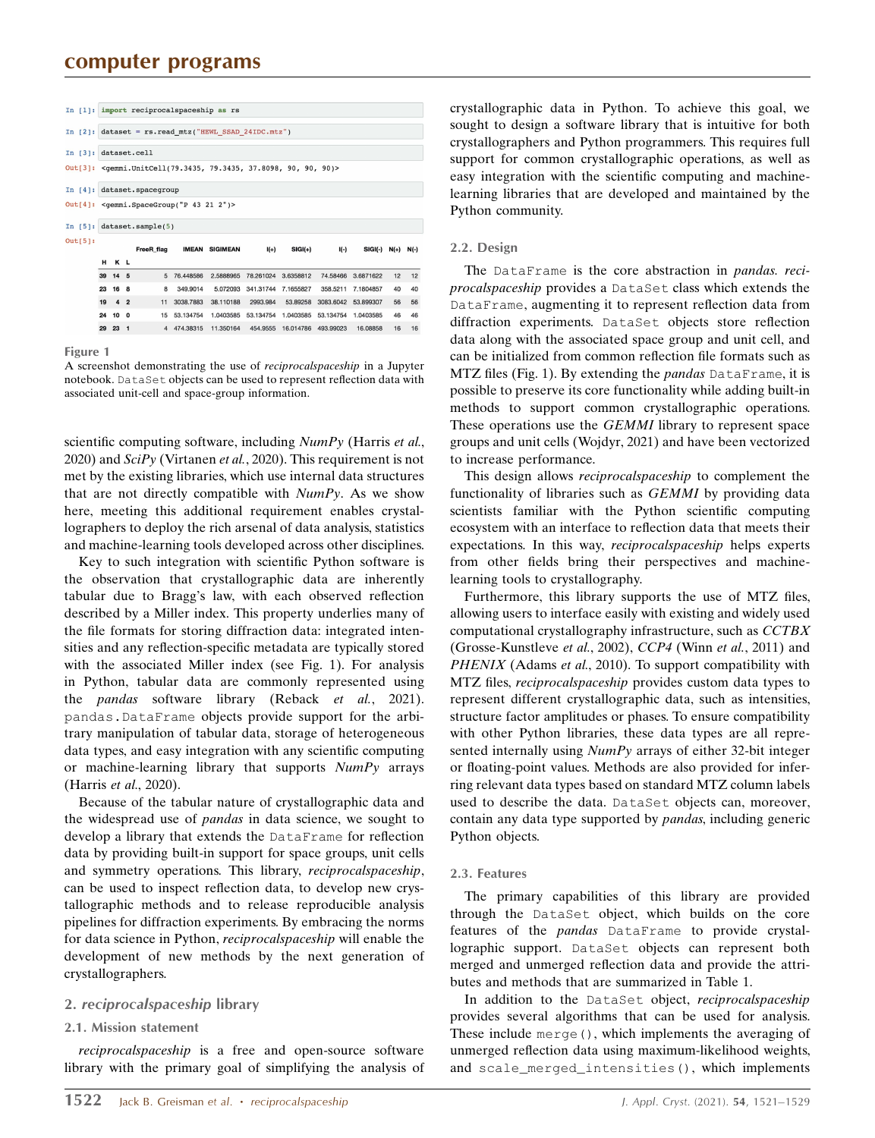# computer programs

|            | In [1]: import reciprocalspaceship as rs                                                          |                 |  |                   |             |                       |           |           |           |                     |    |    |
|------------|---------------------------------------------------------------------------------------------------|-----------------|--|-------------------|-------------|-----------------------|-----------|-----------|-----------|---------------------|----|----|
| In $[2]$ : | $dataset = rs.read mtz("HEWL SSAD 24IDC.mtz")$                                                    |                 |  |                   |             |                       |           |           |           |                     |    |    |
| In $[3]$ : |                                                                                                   | dataset.cell    |  |                   |             |                       |           |           |           |                     |    |    |
|            | Out[3]: <qemmi.unitcell(79.3435, 37.8098,="" 79.3435,="" 90)="" 90,=""></qemmi.unitcell(79.3435,> |                 |  |                   |             |                       |           |           |           |                     |    |    |
| In $[4]$ : | dataset.spacegroup                                                                                |                 |  |                   |             |                       |           |           |           |                     |    |    |
|            | Out[4]: < gemmi. SpaceGroup("P 43 21 2")>                                                         |                 |  |                   |             |                       |           |           |           |                     |    |    |
|            |                                                                                                   |                 |  |                   |             |                       |           |           |           |                     |    |    |
| In $[5]$ : |                                                                                                   |                 |  | dataset.sample(5) |             |                       |           |           |           |                     |    |    |
| Out[5]:    |                                                                                                   |                 |  | FreeR flag        |             | <b>IMEAN SIGIMEAN</b> | $I(+)$    | $SIGI(+)$ | $I(-)$    | $SIGI(-) N(+) N(-)$ |    |    |
|            |                                                                                                   | H K L           |  |                   |             |                       |           |           |           |                     |    |    |
|            |                                                                                                   | 39 14 5         |  |                   | 5 76.448586 | 2.5888965             | 78.261024 | 3.6358812 | 74.58466  | 3.6871622           | 12 | 12 |
|            |                                                                                                   | 23 16 8         |  | 8                 | 349,9014    | 5.072093              | 341.31744 | 7.1655827 | 358,5211  | 7.1804857           | 40 | 40 |
|            | 19                                                                                                | 4 <sub>2</sub>  |  | 11                | 3038,7883   | 38.110188             | 2993.984  | 53.89258  | 3083.6042 | 53.899307           | 56 | 56 |
|            | 24                                                                                                | 10 <sub>0</sub> |  | 15                | 53.134754   | 1.0403585             | 53.134754 | 1.0403585 | 53.134754 | 1.0403585           | 46 | 46 |

Figure 1

A screenshot demonstrating the use of reciprocalspaceship in a Jupyter notebook. DataSet objects can be used to represent reflection data with associated unit-cell and space-group information.

scientific computing software, including NumPy (Harris et al., 2020) and  $SciPy$  (Virtanen et al., 2020). This requirement is not met by the existing libraries, which use internal data structures that are not directly compatible with  $NumPy$ . As we show here, meeting this additional requirement enables crystallographers to deploy the rich arsenal of data analysis, statistics and machine-learning tools developed across other disciplines.

Key to such integration with scientific Python software is the observation that crystallographic data are inherently tabular due to Bragg's law, with each observed reflection described by a Miller index. This property underlies many of the file formats for storing diffraction data: integrated intensities and any reflection-specific metadata are typically stored with the associated Miller index (see Fig. 1). For analysis in Python, tabular data are commonly represented using the *pandas* software library (Reback et al., 2021). pandas.DataFrame objects provide support for the arbitrary manipulation of tabular data, storage of heterogeneous data types, and easy integration with any scientific computing or machine-learning library that supports NumPy arrays (Harris et al., 2020).

Because of the tabular nature of crystallographic data and the widespread use of pandas in data science, we sought to develop a library that extends the DataFrame for reflection data by providing built-in support for space groups, unit cells and symmetry operations. This library, reciprocalspaceship, can be used to inspect reflection data, to develop new crystallographic methods and to release reproducible analysis pipelines for diffraction experiments. By embracing the norms for data science in Python, reciprocalspaceship will enable the development of new methods by the next generation of crystallographers.

## 2. reciprocalspaceship library

#### 2.1. Mission statement

reciprocalspaceship is a free and open-source software library with the primary goal of simplifying the analysis of crystallographic data in Python. To achieve this goal, we sought to design a software library that is intuitive for both crystallographers and Python programmers. This requires full support for common crystallographic operations, as well as easy integration with the scientific computing and machinelearning libraries that are developed and maintained by the Python community.

#### 2.2. Design

The DataFrame is the core abstraction in *pandas. reci*procalspaceship provides a DataSet class which extends the DataFrame, augmenting it to represent reflection data from diffraction experiments. DataSet objects store reflection data along with the associated space group and unit cell, and can be initialized from common reflection file formats such as MTZ files (Fig. 1). By extending the *pandas* DataFrame, it is possible to preserve its core functionality while adding built-in methods to support common crystallographic operations. These operations use the *GEMMI* library to represent space groups and unit cells (Wojdyr, 2021) and have been vectorized to increase performance.

This design allows reciprocalspaceship to complement the functionality of libraries such as GEMMI by providing data scientists familiar with the Python scientific computing ecosystem with an interface to reflection data that meets their expectations. In this way, reciprocalspaceship helps experts from other fields bring their perspectives and machinelearning tools to crystallography.

Furthermore, this library supports the use of MTZ files, allowing users to interface easily with existing and widely used computational crystallography infrastructure, such as CCTBX (Grosse-Kunstleve et al., 2002), CCP4 (Winn et al., 2011) and PHENIX (Adams et al., 2010). To support compatibility with MTZ files, reciprocalspaceship provides custom data types to represent different crystallographic data, such as intensities, structure factor amplitudes or phases. To ensure compatibility with other Python libraries, these data types are all represented internally using NumPy arrays of either 32-bit integer or floating-point values. Methods are also provided for inferring relevant data types based on standard MTZ column labels used to describe the data. DataSet objects can, moreover, contain any data type supported by pandas, including generic Python objects.

#### 2.3. Features

The primary capabilities of this library are provided through the DataSet object, which builds on the core features of the pandas DataFrame to provide crystallographic support. DataSet objects can represent both merged and unmerged reflection data and provide the attributes and methods that are summarized in Table 1.

In addition to the DataSet object, reciprocalspaceship provides several algorithms that can be used for analysis. These include merge(), which implements the averaging of unmerged reflection data using maximum-likelihood weights, and scale\_merged\_intensities(), which implements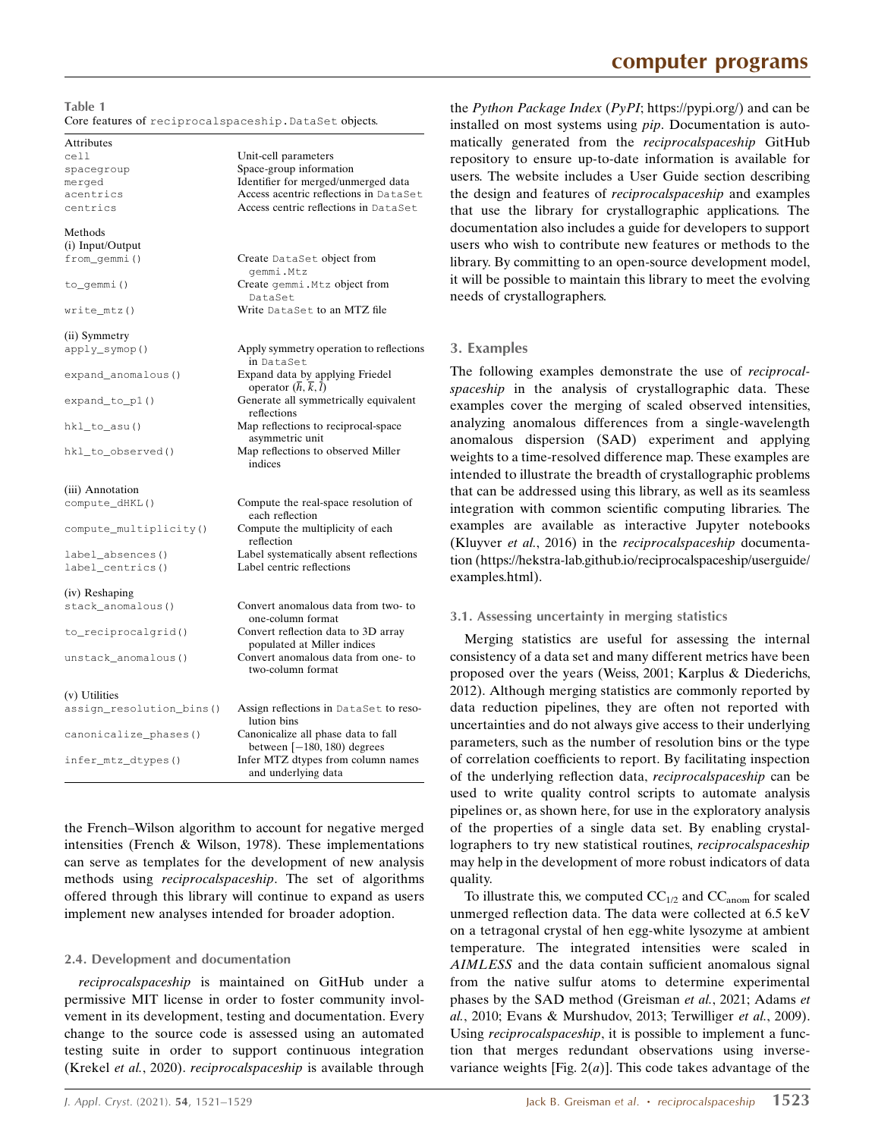| Table 1                                                 |  |
|---------------------------------------------------------|--|
| Core features of reciprocal spaceship. DataSet objects. |  |

Unit-cell parameters

Access centric reflections in DataSet

# Attributes<br> $C_{\mathcal{P}}$ 11

spacegroup Space-group information merged Identifier for merged/unmerged data<br>acentrics Access acentric reflections in DataS acentrics Access acentric reflections in DataSet<br>
Centrics Access centric reflections in DataSet

| Methods<br>(i) Input/Output |                                                                                          |
|-----------------------------|------------------------------------------------------------------------------------------|
| from_gemmi()                | Create DataSet object from<br>qemmi.Mtz                                                  |
| to_gemmi()                  | Create gemmi. Mtz object from<br>DataSet                                                 |
| $write_mtz()$               | Write DataSet to an MTZ file                                                             |
| (ii) Symmetry               |                                                                                          |
| apply_symop()               | Apply symmetry operation to reflections<br>in DataSet                                    |
| expand_anomalous()          | Expand data by applying Friedel<br>operator $(\overline{h}, \overline{k}, \overline{l})$ |
| expand_to_p1()              | Generate all symmetrically equivalent<br>reflections                                     |
| hkl_to_asu()                | Map reflections to reciprocal-space<br>asymmetric unit                                   |
| hkl_to_observed()           | Map reflections to observed Miller<br>indices                                            |
| (iii) Annotation            |                                                                                          |
| compute_dHKL()              | Compute the real-space resolution of<br>each reflection                                  |
| compute_multiplicity()      | Compute the multiplicity of each<br>reflection                                           |
| label_absences()            | Label systematically absent reflections                                                  |
| label_centrics()            | Label centric reflections                                                                |
| (iv) Reshaping              |                                                                                          |
| stack_anomalous()           | Convert anomalous data from two-to<br>one-column format                                  |
| to_reciprocalgrid()         | Convert reflection data to 3D array<br>populated at Miller indices                       |
| unstack_anomalous()         | Convert anomalous data from one- to<br>two-column format                                 |
| (v) Utilities               |                                                                                          |
| assign_resolution_bins()    | Assign reflections in DataSet to reso-<br>lution bins                                    |
| canonicalize_phases()       | Canonicalize all phase data to fall<br>between $[-180, 180)$ degrees                     |
| infer_mtz_dtypes()          | Infer MTZ dtypes from column names<br>and underlying data                                |

the French–Wilson algorithm to account for negative merged intensities (French & Wilson, 1978). These implementations can serve as templates for the development of new analysis methods using reciprocalspaceship. The set of algorithms offered through this library will continue to expand as users implement new analyses intended for broader adoption.

#### 2.4. Development and documentation

reciprocalspaceship is maintained on GitHub under a permissive MIT license in order to foster community involvement in its development, testing and documentation. Every change to the source code is assessed using an automated testing suite in order to support continuous integration (Krekel et al., 2020). reciprocalspaceship is available through

the Python Package Index (PyPI; https://pypi.org/) and can be installed on most systems using pip. Documentation is automatically generated from the reciprocalspaceship GitHub repository to ensure up-to-date information is available for users. The website includes a User Guide section describing the design and features of reciprocalspaceship and examples that use the library for crystallographic applications. The documentation also includes a guide for developers to support users who wish to contribute new features or methods to the library. By committing to an open-source development model, it will be possible to maintain this library to meet the evolving needs of crystallographers.

#### 3. Examples

The following examples demonstrate the use of *reciprocal*spaceship in the analysis of crystallographic data. These examples cover the merging of scaled observed intensities, analyzing anomalous differences from a single-wavelength anomalous dispersion (SAD) experiment and applying weights to a time-resolved difference map. These examples are intended to illustrate the breadth of crystallographic problems that can be addressed using this library, as well as its seamless integration with common scientific computing libraries. The examples are available as interactive Jupyter notebooks (Kluyver et al., 2016) in the reciprocalspaceship documentation (https://hekstra-lab.github.io/reciprocalspaceship/userguide/ examples.html).

#### 3.1. Assessing uncertainty in merging statistics

Merging statistics are useful for assessing the internal consistency of a data set and many different metrics have been proposed over the years (Weiss, 2001; Karplus & Diederichs, 2012). Although merging statistics are commonly reported by data reduction pipelines, they are often not reported with uncertainties and do not always give access to their underlying parameters, such as the number of resolution bins or the type of correlation coefficients to report. By facilitating inspection of the underlying reflection data, reciprocalspaceship can be used to write quality control scripts to automate analysis pipelines or, as shown here, for use in the exploratory analysis of the properties of a single data set. By enabling crystallographers to try new statistical routines, reciprocalspaceship may help in the development of more robust indicators of data quality.

To illustrate this, we computed  $CC_{1/2}$  and  $CC_{anom}$  for scaled unmerged reflection data. The data were collected at 6.5 keV on a tetragonal crystal of hen egg-white lysozyme at ambient temperature. The integrated intensities were scaled in AIMLESS and the data contain sufficient anomalous signal from the native sulfur atoms to determine experimental phases by the SAD method (Greisman et al., 2021; Adams et al., 2010; Evans & Murshudov, 2013; Terwilliger et al., 2009). Using reciprocalspaceship, it is possible to implement a function that merges redundant observations using inversevariance weights [Fig.  $2(a)$ ]. This code takes advantage of the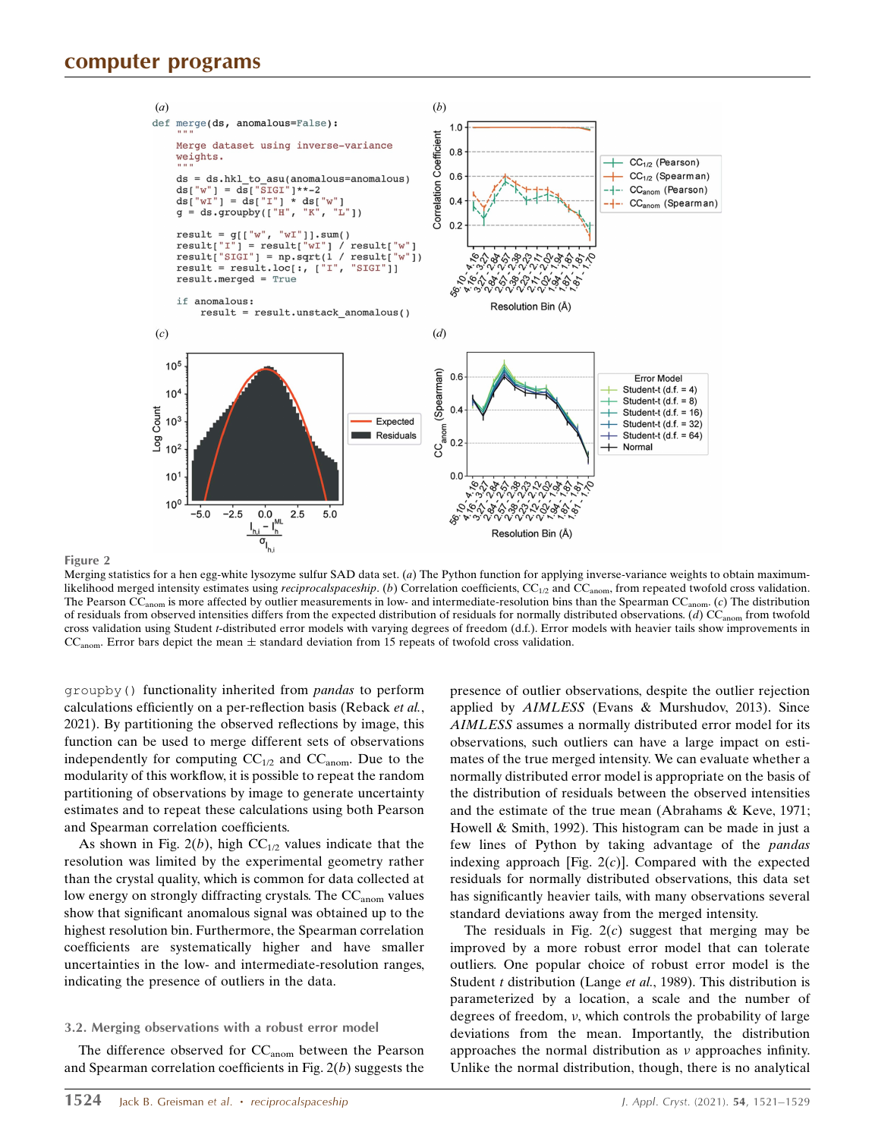Figure 2



Merging statistics for a hen egg-white lysozyme sulfur SAD data set.  $(a)$  The Python function for applying inverse-variance weights to obtain maximumlikelihood merged intensity estimates using reciprocalspaceship. (b) Correlation coefficients,  $CC_{1/2}$  and  $CC_{anom}$ , from repeated twofold cross validation. The Pearson  $CC_{anom}$  is more affected by outlier measurements in low- and intermediate-resolution bins than the Spearman  $CC_{anom}$ . (c) The distribution of residuals from observed intensities differs from the expected distribution of residuals for normally distributed observations. (d)  $CC_{anom}$  from twofold cross validation using Student t-distributed error models with varying degrees of freedom (d.f.). Error models with heavier tails show improvements in  $CC<sub>anom</sub>$ . Error bars depict the mean  $\pm$  standard deviation from 15 repeats of twofold cross validation.

groupby() functionality inherited from pandas to perform calculations efficiently on a per-reflection basis (Reback et al., 2021). By partitioning the observed reflections by image, this function can be used to merge different sets of observations independently for computing  $CC_{1/2}$  and  $CC_{anom}$ . Due to the modularity of this workflow, it is possible to repeat the random partitioning of observations by image to generate uncertainty estimates and to repeat these calculations using both Pearson and Spearman correlation coefficients.

As shown in Fig. 2(b), high  $CC_{1/2}$  values indicate that the resolution was limited by the experimental geometry rather than the crystal quality, which is common for data collected at low energy on strongly diffracting crystals. The CC<sub>anom</sub> values show that significant anomalous signal was obtained up to the highest resolution bin. Furthermore, the Spearman correlation coefficients are systematically higher and have smaller uncertainties in the low- and intermediate-resolution ranges, indicating the presence of outliers in the data.

#### 3.2. Merging observations with a robust error model

The difference observed for CC<sub>anom</sub> between the Pearson and Spearman correlation coefficients in Fig.  $2(b)$  suggests the presence of outlier observations, despite the outlier rejection applied by AIMLESS (Evans & Murshudov, 2013). Since AIMLESS assumes a normally distributed error model for its observations, such outliers can have a large impact on estimates of the true merged intensity. We can evaluate whether a normally distributed error model is appropriate on the basis of the distribution of residuals between the observed intensities and the estimate of the true mean (Abrahams & Keve, 1971; Howell & Smith, 1992). This histogram can be made in just a few lines of Python by taking advantage of the pandas indexing approach [Fig.  $2(c)$ ]. Compared with the expected residuals for normally distributed observations, this data set has significantly heavier tails, with many observations several standard deviations away from the merged intensity.

The residuals in Fig.  $2(c)$  suggest that merging may be improved by a more robust error model that can tolerate outliers. One popular choice of robust error model is the Student  $t$  distribution (Lange *et al.*, 1989). This distribution is parameterized by a location, a scale and the number of degrees of freedom, v, which controls the probability of large deviations from the mean. Importantly, the distribution approaches the normal distribution as  $\nu$  approaches infinity. Unlike the normal distribution, though, there is no analytical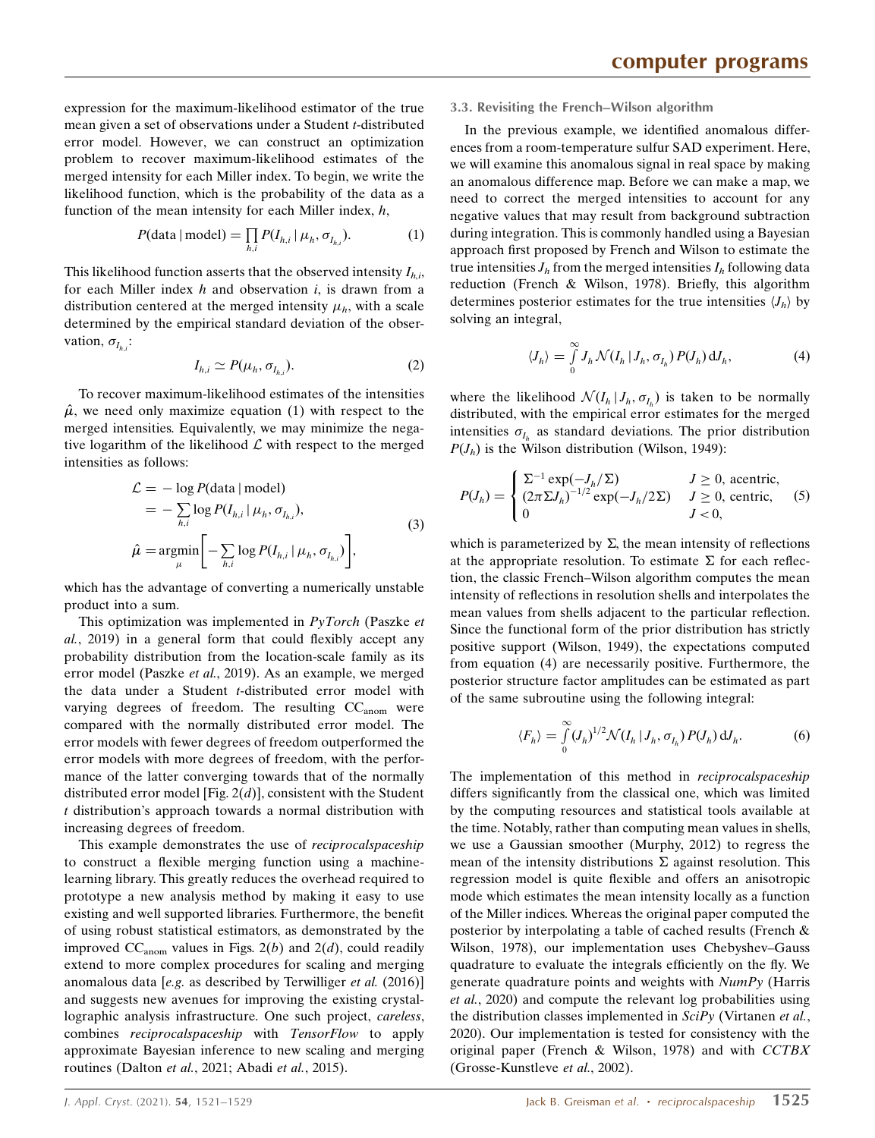expression for the maximum-likelihood estimator of the true mean given a set of observations under a Student *t*-distributed error model. However, we can construct an optimization problem to recover maximum-likelihood estimates of the merged intensity for each Miller index. To begin, we write the likelihood function, which is the probability of the data as a function of the mean intensity for each Miller index,  $h$ ,

$$
P(\text{data} \mid \text{model}) = \prod_{h,i} P(I_{h,i} \mid \mu_h, \sigma_{I_{h,i}}). \tag{1}
$$

This likelihood function asserts that the observed intensity  $I_{hi}$ , for each Miller index  $h$  and observation  $i$ , is drawn from a distribution centered at the merged intensity  $\mu_h$ , with a scale determined by the empirical standard deviation of the observation,  $\sigma_{I_{h,i}}$ :

$$
I_{h,i} \simeq P(\mu_h, \sigma_{I_{h,i}}). \tag{2}
$$

To recover maximum-likelihood estimates of the intensities  $\hat{\mu}$ , we need only maximize equation (1) with respect to the merged intensities. Equivalently, we may minimize the negative logarithm of the likelihood  $\mathcal L$  with respect to the merged intensities as follows:

$$
\mathcal{L} = -\log P(\text{data} \mid \text{model})
$$
\n
$$
= -\sum_{h,i} \log P(I_{h,i} \mid \mu_h, \sigma_{I_{h,i}}),
$$
\n
$$
\hat{\mu} = \underset{\mu}{\operatorname{argmin}} \left[ -\sum_{h,i} \log P(I_{h,i} \mid \mu_h, \sigma_{I_{h,i}}) \right],
$$
\n(3)

which has the advantage of converting a numerically unstable product into a sum.

This optimization was implemented in  $PyTorch$  (Paszke et al., 2019) in a general form that could flexibly accept any probability distribution from the location-scale family as its error model (Paszke et al., 2019). As an example, we merged the data under a Student *t*-distributed error model with varying degrees of freedom. The resulting  $CC_{anom}$  were compared with the normally distributed error model. The error models with fewer degrees of freedom outperformed the error models with more degrees of freedom, with the performance of the latter converging towards that of the normally distributed error model [Fig.  $2(d)$ ], consistent with the Student t distribution's approach towards a normal distribution with increasing degrees of freedom.

This example demonstrates the use of *reciprocalspaceship* to construct a flexible merging function using a machinelearning library. This greatly reduces the overhead required to prototype a new analysis method by making it easy to use existing and well supported libraries. Furthermore, the benefit of using robust statistical estimators, as demonstrated by the improved  $CC_{anom}$  values in Figs.  $2(b)$  and  $2(d)$ , could readily extend to more complex procedures for scaling and merging anomalous data [e.g. as described by Terwilliger et al. (2016)] and suggests new avenues for improving the existing crystallographic analysis infrastructure. One such project, careless, combines reciprocalspaceship with TensorFlow to apply approximate Bayesian inference to new scaling and merging routines (Dalton et al., 2021; Abadi et al., 2015).

#### 3.3. Revisiting the French–Wilson algorithm

In the previous example, we identified anomalous differences from a room-temperature sulfur SAD experiment. Here, we will examine this anomalous signal in real space by making an anomalous difference map. Before we can make a map, we need to correct the merged intensities to account for any negative values that may result from background subtraction during integration. This is commonly handled using a Bayesian approach first proposed by French and Wilson to estimate the true intensities  $J<sub>h</sub>$  from the merged intensities  $I<sub>h</sub>$  following data reduction (French & Wilson, 1978). Briefly, this algorithm determines posterior estimates for the true intensities  $\langle J_h \rangle$  by solving an integral,

$$
\langle J_h \rangle = \int\limits_0^\infty J_h \, \mathcal{N}(I_h \, | \, J_h, \, \sigma_{I_h}) \, P(J_h) \, \mathrm{d}J_h,\tag{4}
$$

where the likelihood  $\mathcal{N}(I_h | J_h, \sigma_{I_h})$  is taken to be normally distributed, with the empirical error estimates for the merged intensities  $\sigma_{I_h}$  as standard deviations. The prior distribution  $P(J_h)$  is the Wilson distribution (Wilson, 1949):

$$
P(J_h) = \begin{cases} \Sigma^{-1} \exp(-J_h/\Sigma) & J \ge 0, \text{ acentric,} \\ (2\pi \Sigma J_h)^{-1/2} \exp(-J_h/2\Sigma) & J \ge 0, \text{ centric,} \\ 0 & J < 0, \end{cases}
$$
 (5)

which is parameterized by  $\Sigma$ , the mean intensity of reflections at the appropriate resolution. To estimate  $\Sigma$  for each reflection, the classic French–Wilson algorithm computes the mean intensity of reflections in resolution shells and interpolates the mean values from shells adjacent to the particular reflection. Since the functional form of the prior distribution has strictly positive support (Wilson, 1949), the expectations computed from equation (4) are necessarily positive. Furthermore, the posterior structure factor amplitudes can be estimated as part of the same subroutine using the following integral:

$$
\langle F_h \rangle = \int_{0}^{\infty} (J_h)^{1/2} \mathcal{N}(I_h | J_h, \sigma_{I_h}) P(J_h) \, \mathrm{d}J_h.
$$
 (6)

The implementation of this method in reciprocalspaceship differs significantly from the classical one, which was limited by the computing resources and statistical tools available at the time. Notably, rather than computing mean values in shells, we use a Gaussian smoother (Murphy, 2012) to regress the mean of the intensity distributions  $\Sigma$  against resolution. This regression model is quite flexible and offers an anisotropic mode which estimates the mean intensity locally as a function of the Miller indices. Whereas the original paper computed the posterior by interpolating a table of cached results (French & Wilson, 1978), our implementation uses Chebyshev–Gauss quadrature to evaluate the integrals efficiently on the fly. We generate quadrature points and weights with NumPy (Harris et al., 2020) and compute the relevant log probabilities using the distribution classes implemented in  $SciPy$  (Virtanen et al., 2020). Our implementation is tested for consistency with the original paper (French & Wilson, 1978) and with CCTBX (Grosse-Kunstleve et al., 2002).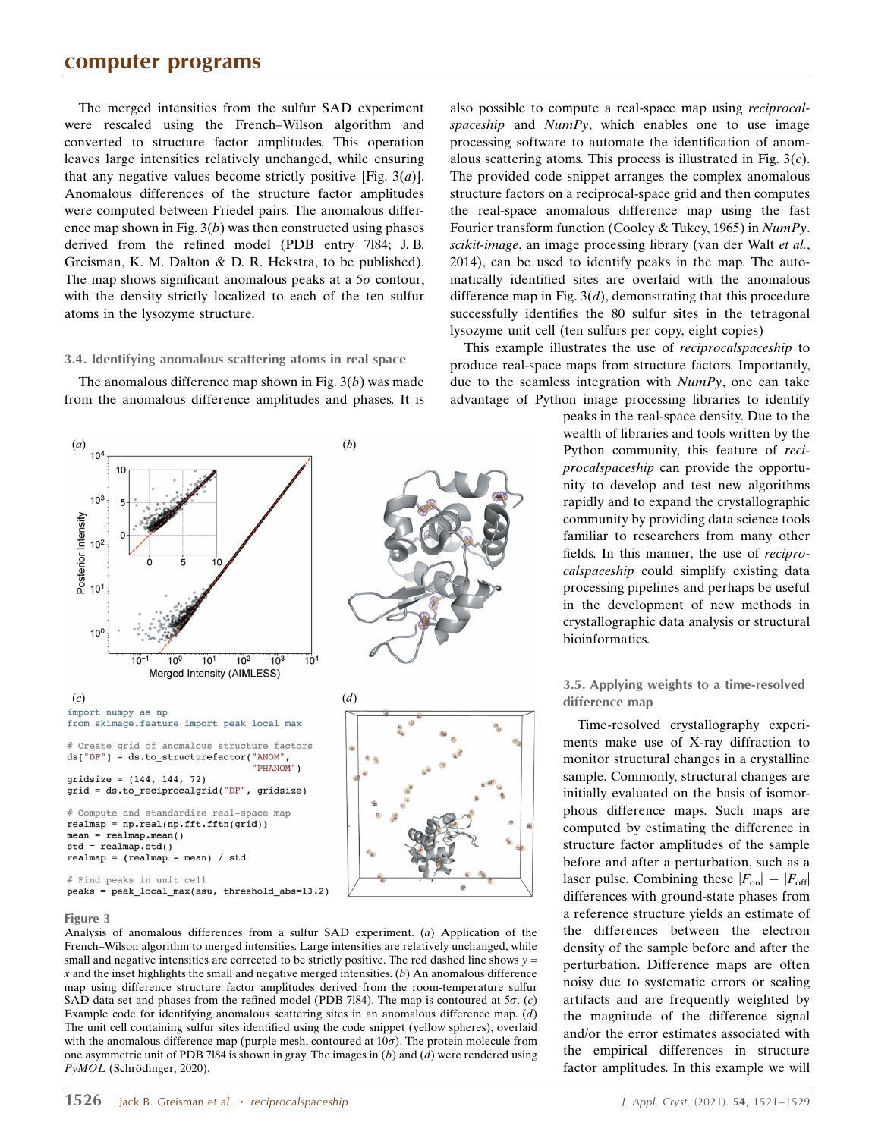# computer programs

The merged intensities from the sulfur SAD experiment were rescaled using the French–Wilson algorithm and converted to structure factor amplitudes. This operation leaves large intensities relatively unchanged, while ensuring that any negative values become strictly positive [Fig.  $3(a)$ ]. Anomalous differences of the structure factor amplitudes were computed between Friedel pairs. The anomalous difference map shown in Fig.  $3(b)$  was then constructed using phases derived from the refined model (PDB entry 7l84; J. B. Greisman, K. M. Dalton & D. R. Hekstra, to be published). The map shows significant anomalous peaks at a  $5\sigma$  contour, with the density strictly localized to each of the ten sulfur atoms in the lysozyme structure.

#### 3.4. Identifying anomalous scattering atoms in real space

The anomalous difference map shown in Fig.  $3(b)$  was made from the anomalous difference amplitudes and phases. It is



#### Figure 3

Analysis of anomalous differences from a sulfur SAD experiment. (a) Application of the French–Wilson algorithm to merged intensities. Large intensities are relatively unchanged, while small and negative intensities are corrected to be strictly positive. The red dashed line shows  $y =$  $x$  and the inset highlights the small and negative merged intensities.  $(b)$  An anomalous difference map using difference structure factor amplitudes derived from the room-temperature sulfur SAD data set and phases from the refined model (PDB 7l84). The map is contoured at  $5\sigma$ . (c) Example code for identifying anomalous scattering sites in an anomalous difference map.  $(d)$ The unit cell containing sulfur sites identified using the code snippet (yellow spheres), overlaid with the anomalous difference map (purple mesh, contoured at  $10\sigma$ ). The protein molecule from one asymmetric unit of PDB 7184 is shown in gray. The images in  $(b)$  and  $(d)$  were rendered using  $PyMOL$  (Schrödinger, 2020).

also possible to compute a real-space map using reciprocalspaceship and  $NumPv$ , which enables one to use image processing software to automate the identification of anomalous scattering atoms. This process is illustrated in Fig.  $3(c)$ . The provided code snippet arranges the complex anomalous structure factors on a reciprocal-space grid and then computes the real-space anomalous difference map using the fast Fourier transform function (Cooley & Tukey, 1965) in NumPy. scikit-image, an image processing library (van der Walt et al., 2014), can be used to identify peaks in the map. The automatically identified sites are overlaid with the anomalous difference map in Fig.  $3(d)$ , demonstrating that this procedure successfully identifies the 80 sulfur sites in the tetragonal lysozyme unit cell (ten sulfurs per copy, eight copies)

This example illustrates the use of reciprocalspaceship to produce real-space maps from structure factors. Importantly, due to the seamless integration with  $NumPy$ , one can take advantage of Python image processing libraries to identify

> peaks in the real-space density. Due to the wealth of libraries and tools written by the Python community, this feature of reciprocalspaceship can provide the opportunity to develop and test new algorithms rapidly and to expand the crystallographic community by providing data science tools familiar to researchers from many other fields. In this manner, the use of reciprocalspaceship could simplify existing data processing pipelines and perhaps be useful in the development of new methods in crystallographic data analysis or structural bioinformatics.

#### 3.5. Applying weights to a time-resolved difference map

Time-resolved crystallography experiments make use of X-ray diffraction to monitor structural changes in a crystalline sample. Commonly, structural changes are initially evaluated on the basis of isomorphous difference maps. Such maps are computed by estimating the difference in structure factor amplitudes of the sample before and after a perturbation, such as a laser pulse. Combining these  $|F_{on}| - |F_{off}|$ differences with ground-state phases from a reference structure yields an estimate of the differences between the electron density of the sample before and after the perturbation. Difference maps are often noisy due to systematic errors or scaling artifacts and are frequently weighted by the magnitude of the difference signal and/or the error estimates associated with the empirical differences in structure factor amplitudes. In this example we will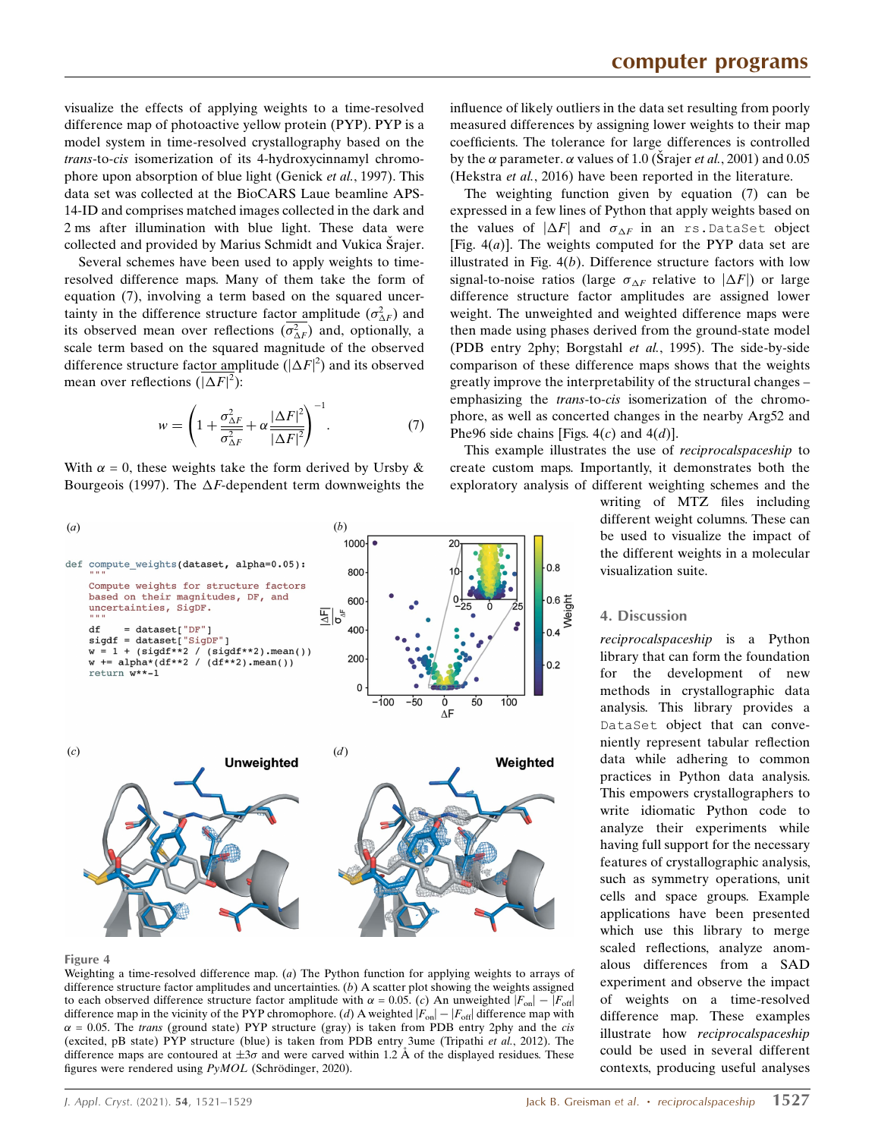visualize the effects of applying weights to a time-resolved difference map of photoactive yellow protein (PYP). PYP is a model system in time-resolved crystallography based on the trans-to-cis isomerization of its 4-hydroxycinnamyl chromophore upon absorption of blue light (Genick et al., 1997). This data set was collected at the BioCARS Laue beamline APS-14-ID and comprises matched images collected in the dark and 2 ms after illumination with blue light. These data were collected and provided by Marius Schmidt and Vukica Srajer.

Several schemes have been used to apply weights to timeresolved difference maps. Many of them take the form of equation (7), involving a term based on the squared uncertainty in the difference structure factor amplitude  $(\sigma_{\Delta F}^2)$  and its observed mean over reflections  $(\sigma_{\Delta F}^2)$  and, optionally, a scale term based on the squared magnitude of the observed difference structure factor amplitude ( $|\Delta F|^2$ ) and its observed mean over reflections  $(|\Delta F|^2)$ :

$$
w = \left(1 + \frac{\sigma_{\Delta F}^2}{\sigma_{\Delta F}^2} + \alpha \frac{|\Delta F|^2}{|\Delta F|^2}\right)^{-1}.\tag{7}
$$

With  $\alpha = 0$ , these weights take the form derived by Ursby & Bourgeois (1997). The  $\Delta F$ -dependent term downweights the



(PDB entry 2phy; Borgstahl et al., 1995). The side-by-side comparison of these difference maps shows that the weights greatly improve the interpretability of the structural changes – emphasizing the *trans-to-cis* isomerization of the chromophore, as well as concerted changes in the nearby Arg52 and Phe96 side chains [Figs.  $4(c)$  and  $4(d)$ ].

influence of likely outliers in the data set resulting from poorly measured differences by assigning lower weights to their map coefficients. The tolerance for large differences is controlled by the  $\alpha$  parameter.  $\alpha$  values of 1.0 (Strajer *et al.*, 2001) and 0.05 (Hekstra et al., 2016) have been reported in the literature.

This example illustrates the use of reciprocalspaceship to create custom maps. Importantly, it demonstrates both the exploratory analysis of different weighting schemes and the

writing of MTZ files including different weight columns. These can be used to visualize the impact of the different weights in a molecular visualization suite.

#### 4. Discussion

reciprocalspaceship is a Python library that can form the foundation for the development of new methods in crystallographic data analysis. This library provides a DataSet object that can conveniently represent tabular reflection data while adhering to common practices in Python data analysis. This empowers crystallographers to write idiomatic Python code to analyze their experiments while having full support for the necessary features of crystallographic analysis, such as symmetry operations, unit cells and space groups. Example applications have been presented which use this library to merge scaled reflections, analyze anomalous differences from a SAD experiment and observe the impact of weights on a time-resolved difference map. These examples illustrate how reciprocalspaceship could be used in several different contexts, producing useful analyses



Weighting a time-resolved difference map. (a) The Python function for applying weights to arrays of difference structure factor amplitudes and uncertainties. (b) A scatter plot showing the weights assigned to each observed difference structure factor amplitude with  $\alpha = 0.05$ . (c) An unweighted  $|F_{on}| - |F_{off}|$ difference map in the vicinity of the PYP chromophore. (d) A weighted  $|F_{on}| - |F_{off}|$  difference map with  $\alpha$  = 0.05. The trans (ground state) PYP structure (gray) is taken from PDB entry 2phy and the *cis* (excited, pB state) PYP structure (blue) is taken from PDB entry 3ume (Tripathi et al., 2012). The difference maps are contoured at  $\pm 3\sigma$  and were carved within 1.2 Å of the displayed residues. These figures were rendered using  $PyMOL$  (Schrödinger, 2020).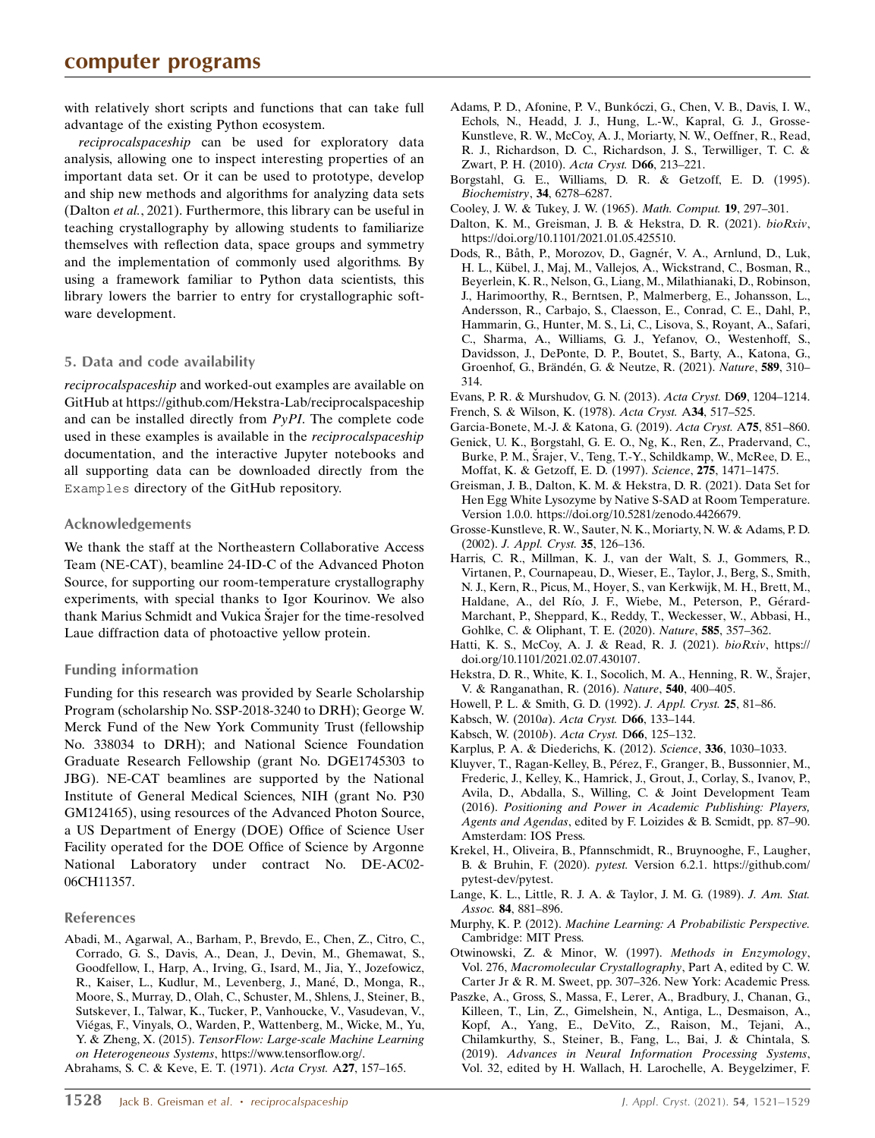with relatively short scripts and functions that can take full advantage of the existing Python ecosystem.

reciprocalspaceship can be used for exploratory data analysis, allowing one to inspect interesting properties of an important data set. Or it can be used to prototype, develop and ship new methods and algorithms for analyzing data sets (Dalton et al., 2021). Furthermore, this library can be useful in teaching crystallography by allowing students to familiarize themselves with reflection data, space groups and symmetry and the implementation of commonly used algorithms. By using a framework familiar to Python data scientists, this library lowers the barrier to entry for crystallographic software development.

## 5. Data and code availability

reciprocalspaceship and worked-out examples are available on GitHub at https://github.com/Hekstra-Lab/reciprocalspaceship and can be installed directly from PyPI. The complete code used in these examples is available in the reciprocalspaceship documentation, and the interactive Jupyter notebooks and all supporting data can be downloaded directly from the Examples directory of the GitHub repository.

## Acknowledgements

We thank the staff at the Northeastern Collaborative Access Team (NE-CAT), beamline 24-ID-C of the Advanced Photon Source, for supporting our room-temperature crystallography experiments, with special thanks to Igor Kourinov. We also thank Marius Schmidt and Vukica Srajer for the time-resolved Laue diffraction data of photoactive yellow protein.

## Funding information

Funding for this research was provided by Searle Scholarship Program (scholarship No. SSP-2018-3240 to DRH); George W. Merck Fund of the New York Community Trust (fellowship No. 338034 to DRH); and National Science Foundation Graduate Research Fellowship (grant No. DGE1745303 to JBG). NE-CAT beamlines are supported by the National Institute of General Medical Sciences, NIH (grant No. P30 GM124165), using resources of the Advanced Photon Source, a US Department of Energy (DOE) Office of Science User Facility operated for the DOE Office of Science by Argonne National Laboratory under contract No. DE-AC02- 06CH11357.

#### References

[Abadi, M., Agarwal, A., Barham, P., Brevdo, E., Chen, Z., Citro, C.,](http://scripts.iucr.org/cgi-bin/cr.cgi?rm=pdfbb&cnor=te5079&bbid=BB1) [Corrado, G. S., Davis, A., Dean, J., Devin, M., Ghemawat, S.,](http://scripts.iucr.org/cgi-bin/cr.cgi?rm=pdfbb&cnor=te5079&bbid=BB1) [Goodfellow, I., Harp, A., Irving, G., Isard, M., Jia, Y., Jozefowicz,](http://scripts.iucr.org/cgi-bin/cr.cgi?rm=pdfbb&cnor=te5079&bbid=BB1) R., Kaiser, L., Kudlur, M., Levenberg, J., Mané, D., Monga, R., [Moore, S., Murray, D., Olah, C., Schuster, M., Shlens, J., Steiner, B.,](http://scripts.iucr.org/cgi-bin/cr.cgi?rm=pdfbb&cnor=te5079&bbid=BB1) [Sutskever, I., Talwar, K., Tucker, P., Vanhoucke, V., Vasudevan, V.,](http://scripts.iucr.org/cgi-bin/cr.cgi?rm=pdfbb&cnor=te5079&bbid=BB1) Viégas, F., Vinyals, O., Warden, P., Wattenberg, M., Wicke, M., Yu, Y. & Zheng, X. (2015). [TensorFlow: Large-scale Machine Learning](http://scripts.iucr.org/cgi-bin/cr.cgi?rm=pdfbb&cnor=te5079&bbid=BB1) on Heterogeneous Systems[, https://www.tensorflow.org/.](http://scripts.iucr.org/cgi-bin/cr.cgi?rm=pdfbb&cnor=te5079&bbid=BB1)

[Abrahams, S. C. & Keve, E. T. \(1971\).](http://scripts.iucr.org/cgi-bin/cr.cgi?rm=pdfbb&cnor=te5079&bbid=BB2) Acta Cryst. A27, 157–165.

- [Borgstahl, G. E., Williams, D. R. & Getzoff, E. D. \(1995\).](http://scripts.iucr.org/cgi-bin/cr.cgi?rm=pdfbb&cnor=te5079&bbid=BB41) [Biochemistry](http://scripts.iucr.org/cgi-bin/cr.cgi?rm=pdfbb&cnor=te5079&bbid=BB41), 34, 6278–6287.
- [Cooley, J. W. & Tukey, J. W. \(1965\).](http://scripts.iucr.org/cgi-bin/cr.cgi?rm=pdfbb&cnor=te5079&bbid=BB4) Math. Comput. 19, 297–301.
- [Dalton, K. M., Greisman, J. B. & Hekstra, D. R. \(2021\).](http://scripts.iucr.org/cgi-bin/cr.cgi?rm=pdfbb&cnor=te5079&bbid=BB5) bioRxiv, [https://doi.org/10.1101/2021.01.05.425510.](http://scripts.iucr.org/cgi-bin/cr.cgi?rm=pdfbb&cnor=te5079&bbid=BB5)
- Dods, R., Båth, P., Morozov, D., Gagnér, V. A., Arnlund, D., Luk, H. L., Kübel, J., Maj, M., Vallejos, A., Wickstrand, C., Bosman, R., [Beyerlein, K. R., Nelson, G., Liang, M., Milathianaki, D., Robinson,](http://scripts.iucr.org/cgi-bin/cr.cgi?rm=pdfbb&cnor=te5079&bbid=BB6) [J., Harimoorthy, R., Berntsen, P., Malmerberg, E., Johansson, L.,](http://scripts.iucr.org/cgi-bin/cr.cgi?rm=pdfbb&cnor=te5079&bbid=BB6) [Andersson, R., Carbajo, S., Claesson, E., Conrad, C. E., Dahl, P.,](http://scripts.iucr.org/cgi-bin/cr.cgi?rm=pdfbb&cnor=te5079&bbid=BB6) [Hammarin, G., Hunter, M. S., Li, C., Lisova, S., Royant, A., Safari,](http://scripts.iucr.org/cgi-bin/cr.cgi?rm=pdfbb&cnor=te5079&bbid=BB6) [C., Sharma, A., Williams, G. J., Yefanov, O., Westenhoff, S.,](http://scripts.iucr.org/cgi-bin/cr.cgi?rm=pdfbb&cnor=te5079&bbid=BB6) [Davidsson, J., DePonte, D. P., Boutet, S., Barty, A., Katona, G.,](http://scripts.iucr.org/cgi-bin/cr.cgi?rm=pdfbb&cnor=te5079&bbid=BB6) Groenhof, G., Brändén, G. & Neutze, R. (2021). Nature, 589, 310– [314.](http://scripts.iucr.org/cgi-bin/cr.cgi?rm=pdfbb&cnor=te5079&bbid=BB6)
- [Evans, P. R. & Murshudov, G. N. \(2013\).](http://scripts.iucr.org/cgi-bin/cr.cgi?rm=pdfbb&cnor=te5079&bbid=BB7) Acta Cryst. D69, 1204–1214.
- [French, S. & Wilson, K. \(1978\).](http://scripts.iucr.org/cgi-bin/cr.cgi?rm=pdfbb&cnor=te5079&bbid=BB8) Acta Cryst. A34, 517–525.
- [Garcia-Bonete, M.-J. & Katona, G. \(2019\).](http://scripts.iucr.org/cgi-bin/cr.cgi?rm=pdfbb&cnor=te5079&bbid=BB9) Acta Cryst. A75, 851–860.
- [Genick, U. K., Borgstahl, G. E. O., Ng, K., Ren, Z., Pradervand, C.,](http://scripts.iucr.org/cgi-bin/cr.cgi?rm=pdfbb&cnor=te5079&bbid=BB10) Burke, P. M., Šrajer, V., Teng, T.-Y., Schildkamp, W., McRee, D. E., [Moffat, K. & Getzoff, E. D. \(1997\).](http://scripts.iucr.org/cgi-bin/cr.cgi?rm=pdfbb&cnor=te5079&bbid=BB10) Science, 275, 1471–1475.
- [Greisman, J. B., Dalton, K. M. & Hekstra, D. R. \(2021\). Data Set for](http://scripts.iucr.org/cgi-bin/cr.cgi?rm=pdfbb&cnor=te5079&bbid=BB11) [Hen Egg White Lysozyme by Native S-SAD at Room Temperature.](http://scripts.iucr.org/cgi-bin/cr.cgi?rm=pdfbb&cnor=te5079&bbid=BB11) [Version 1.0.0. https://doi.org/10.5281/zenodo.4426679.](http://scripts.iucr.org/cgi-bin/cr.cgi?rm=pdfbb&cnor=te5079&bbid=BB11)
- [Grosse-Kunstleve, R. W., Sauter, N. K., Moriarty, N. W. & Adams, P. D.](http://scripts.iucr.org/cgi-bin/cr.cgi?rm=pdfbb&cnor=te5079&bbid=BB12) (2002). [J. Appl. Cryst.](http://scripts.iucr.org/cgi-bin/cr.cgi?rm=pdfbb&cnor=te5079&bbid=BB12) 35, 126–136.
- [Harris, C. R., Millman, K. J., van der Walt, S. J., Gommers, R.,](http://scripts.iucr.org/cgi-bin/cr.cgi?rm=pdfbb&cnor=te5079&bbid=BB13) [Virtanen, P., Cournapeau, D., Wieser, E., Taylor, J., Berg, S., Smith,](http://scripts.iucr.org/cgi-bin/cr.cgi?rm=pdfbb&cnor=te5079&bbid=BB13) [N. J., Kern, R., Picus, M., Hoyer, S., van Kerkwijk, M. H., Brett, M.,](http://scripts.iucr.org/cgi-bin/cr.cgi?rm=pdfbb&cnor=te5079&bbid=BB13) Haldane, A., del Río, J. F., Wiebe, M., Peterson, P., Gérard-[Marchant, P., Sheppard, K., Reddy, T., Weckesser, W., Abbasi, H.,](http://scripts.iucr.org/cgi-bin/cr.cgi?rm=pdfbb&cnor=te5079&bbid=BB13) [Gohlke, C. & Oliphant, T. E. \(2020\).](http://scripts.iucr.org/cgi-bin/cr.cgi?rm=pdfbb&cnor=te5079&bbid=BB13) Nature, 585, 357–362.
- [Hatti, K. S., McCoy, A. J. & Read, R. J. \(2021\).](http://scripts.iucr.org/cgi-bin/cr.cgi?rm=pdfbb&cnor=te5079&bbid=BB14) bioRxiv, https:// [doi.org/10.1101/2021.02.07.430107.](http://scripts.iucr.org/cgi-bin/cr.cgi?rm=pdfbb&cnor=te5079&bbid=BB14)
- Hekstra, D. R., White, K. I., Socolich, M. A., Henning, R. W., Srajer, [V. & Ranganathan, R. \(2016\).](http://scripts.iucr.org/cgi-bin/cr.cgi?rm=pdfbb&cnor=te5079&bbid=BB15) Nature, 540, 400–405.
- [Howell, P. L. & Smith, G. D. \(1992\).](http://scripts.iucr.org/cgi-bin/cr.cgi?rm=pdfbb&cnor=te5079&bbid=BB16) J. Appl. Cryst. 25, 81–86.
- [Kabsch, W. \(2010](http://scripts.iucr.org/cgi-bin/cr.cgi?rm=pdfbb&cnor=te5079&bbid=BB17)a). Acta Cryst. D66, 133–144.
- [Kabsch, W. \(2010](http://scripts.iucr.org/cgi-bin/cr.cgi?rm=pdfbb&cnor=te5079&bbid=BB18)b). Acta Cryst. D66, 125–132.
- [Karplus, P. A. & Diederichs, K. \(2012\).](http://scripts.iucr.org/cgi-bin/cr.cgi?rm=pdfbb&cnor=te5079&bbid=BB19) Science, 336, 1030–1033.
- Kluyver, T., Ragan-Kelley, B., Pérez, F., Granger, B., Bussonnier, M., [Frederic, J., Kelley, K., Hamrick, J., Grout, J., Corlay, S., Ivanov, P.,](http://scripts.iucr.org/cgi-bin/cr.cgi?rm=pdfbb&cnor=te5079&bbid=BB20) [Avila, D., Abdalla, S., Willing, C. & Joint Development Team](http://scripts.iucr.org/cgi-bin/cr.cgi?rm=pdfbb&cnor=te5079&bbid=BB20) (2016). [Positioning and Power in Academic Publishing: Players,](http://scripts.iucr.org/cgi-bin/cr.cgi?rm=pdfbb&cnor=te5079&bbid=BB20) Agents and Agendas[, edited by F. Loizides & B. Scmidt, pp. 87–90.](http://scripts.iucr.org/cgi-bin/cr.cgi?rm=pdfbb&cnor=te5079&bbid=BB20) [Amsterdam: IOS Press.](http://scripts.iucr.org/cgi-bin/cr.cgi?rm=pdfbb&cnor=te5079&bbid=BB20)
- [Krekel, H., Oliveira, B., Pfannschmidt, R., Bruynooghe, F., Laugher,](http://scripts.iucr.org/cgi-bin/cr.cgi?rm=pdfbb&cnor=te5079&bbid=BB21) B. & Bruhin, F. (2020). pytest. [Version 6.2.1. https://github.com/](http://scripts.iucr.org/cgi-bin/cr.cgi?rm=pdfbb&cnor=te5079&bbid=BB21) [pytest-dev/pytest.](http://scripts.iucr.org/cgi-bin/cr.cgi?rm=pdfbb&cnor=te5079&bbid=BB21)
- [Lange, K. L., Little, R. J. A. & Taylor, J. M. G. \(1989\).](http://scripts.iucr.org/cgi-bin/cr.cgi?rm=pdfbb&cnor=te5079&bbid=BB22) J. Am. Stat. Assoc. 84[, 881–896.](http://scripts.iucr.org/cgi-bin/cr.cgi?rm=pdfbb&cnor=te5079&bbid=BB22)
- Murphy, K. P. (2012). [Machine Learning: A Probabilistic Perspective.](http://scripts.iucr.org/cgi-bin/cr.cgi?rm=pdfbb&cnor=te5079&bbid=BB23) [Cambridge: MIT Press.](http://scripts.iucr.org/cgi-bin/cr.cgi?rm=pdfbb&cnor=te5079&bbid=BB23)
- [Otwinowski, Z. & Minor, W. \(1997\).](http://scripts.iucr.org/cgi-bin/cr.cgi?rm=pdfbb&cnor=te5079&bbid=BB24) Methods in Enzymology, Vol. 276, [Macromolecular Crystallography](http://scripts.iucr.org/cgi-bin/cr.cgi?rm=pdfbb&cnor=te5079&bbid=BB24), Part A, edited by C. W. [Carter Jr & R. M. Sweet, pp. 307–326. New York: Academic Press.](http://scripts.iucr.org/cgi-bin/cr.cgi?rm=pdfbb&cnor=te5079&bbid=BB24)
- [Paszke, A., Gross, S., Massa, F., Lerer, A., Bradbury, J., Chanan, G.,](http://scripts.iucr.org/cgi-bin/cr.cgi?rm=pdfbb&cnor=te5079&bbid=BB25) [Killeen, T., Lin, Z., Gimelshein, N., Antiga, L., Desmaison, A.,](http://scripts.iucr.org/cgi-bin/cr.cgi?rm=pdfbb&cnor=te5079&bbid=BB25) [Kopf, A., Yang, E., DeVito, Z., Raison, M., Tejani, A.,](http://scripts.iucr.org/cgi-bin/cr.cgi?rm=pdfbb&cnor=te5079&bbid=BB25) [Chilamkurthy, S., Steiner, B., Fang, L., Bai, J. & Chintala, S.](http://scripts.iucr.org/cgi-bin/cr.cgi?rm=pdfbb&cnor=te5079&bbid=BB25) (2019). [Advances in Neural Information Processing Systems](http://scripts.iucr.org/cgi-bin/cr.cgi?rm=pdfbb&cnor=te5079&bbid=BB25), [Vol. 32, edited by H. Wallach, H. Larochelle, A. Beygelzimer, F.](http://scripts.iucr.org/cgi-bin/cr.cgi?rm=pdfbb&cnor=te5079&bbid=BB25)